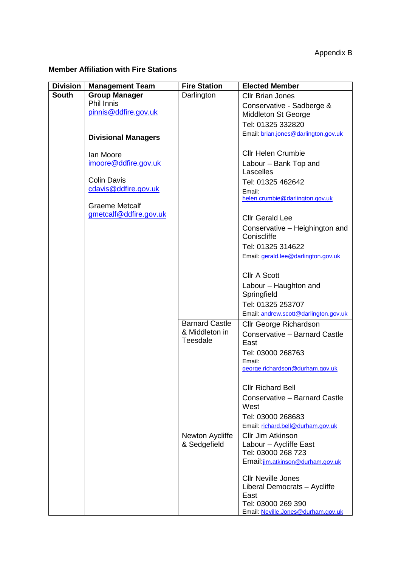## **Member Affiliation with Fire Stations**

| <b>Division</b> | <b>Management Team</b>     | <b>Fire Station</b>   | <b>Elected Member</b>                                   |
|-----------------|----------------------------|-----------------------|---------------------------------------------------------|
| <b>South</b>    | <b>Group Manager</b>       | Darlington            | <b>Cllr Brian Jones</b>                                 |
|                 | Phil Innis                 |                       | Conservative - Sadberge &                               |
|                 | pinnis@ddfire.gov.uk       |                       | <b>Middleton St George</b>                              |
|                 |                            |                       | Tel: 01325 332820                                       |
|                 | <b>Divisional Managers</b> |                       | Email: brian.jones@darlington.gov.uk                    |
|                 |                            |                       |                                                         |
|                 | <b>lan Moore</b>           |                       | <b>Cllr Helen Crumbie</b>                               |
|                 | imoore@ddfire.gov.uk       |                       | Labour - Bank Top and<br>Lascelles                      |
|                 | <b>Colin Davis</b>         |                       | Tel: 01325 462642                                       |
|                 | cdavis@ddfire.gov.uk       |                       | Email:                                                  |
|                 |                            |                       | helen.crumbie@darlington.gov.uk                         |
|                 | <b>Graeme Metcalf</b>      |                       |                                                         |
|                 | gmetcalf@ddfire.gov.uk     |                       | <b>Cllr Gerald Lee</b>                                  |
|                 |                            |                       | Conservative - Heighington and                          |
|                 |                            |                       | Coniscliffe                                             |
|                 |                            |                       | Tel: 01325 314622                                       |
|                 |                            |                       | Email: gerald.lee@darlington.gov.uk                     |
|                 |                            |                       | <b>Cllr A Scott</b>                                     |
|                 |                            |                       | Labour - Haughton and                                   |
|                 |                            |                       | Springfield                                             |
|                 |                            |                       | Tel: 01325 253707                                       |
|                 |                            |                       | Email: andrew.scott@darlington.gov.uk                   |
|                 |                            | <b>Barnard Castle</b> | <b>Cllr George Richardson</b>                           |
|                 |                            | & Middleton in        | Conservative - Barnard Castle                           |
|                 |                            | <b>Teesdale</b>       | East                                                    |
|                 |                            |                       | Tel: 03000 268763                                       |
|                 |                            |                       | Email:<br>george.richardson@durham.gov.uk               |
|                 |                            |                       |                                                         |
|                 |                            |                       | <b>Cllr Richard Bell</b>                                |
|                 |                            |                       | Conservative - Barnard Castle<br>West                   |
|                 |                            |                       | Tel: 03000 268683                                       |
|                 |                            |                       | Email: richard.bell@durham.gov.uk                       |
|                 |                            | Newton Aycliffe       | Cllr Jim Atkinson                                       |
|                 |                            | & Sedgefield          | Labour - Aycliffe East                                  |
|                 |                            |                       | Tel: 03000 268 723<br>Email: jim.atkinson@durham.gov.uk |
|                 |                            |                       |                                                         |
|                 |                            |                       | <b>CIIr Neville Jones</b>                               |
|                 |                            |                       | Liberal Democrats - Aycliffe                            |
|                 |                            |                       | East<br>Tel: 03000 269 390                              |
|                 |                            |                       | Email: Neville.Jones@durham.gov.uk                      |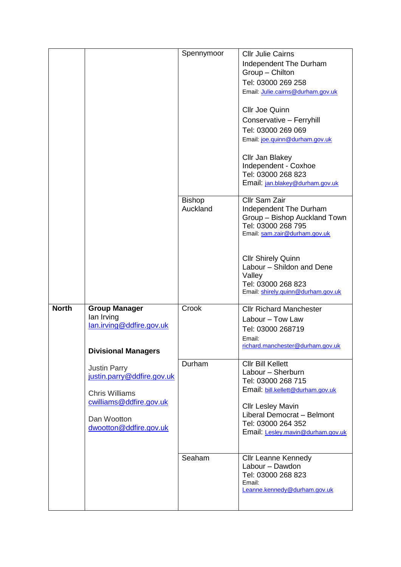|              |                                                                                                                                                | Spennymoor                | <b>CIIr Julie Cairns</b><br>Independent The Durham<br>Group - Chilton<br>Tel: 03000 269 258<br>Email: Julie.cairns@durham.gov.uk<br><b>Cllr Joe Quinn</b><br>Conservative - Ferryhill<br>Tel: 03000 269 069<br>Email: joe.quinn@durham.gov.uk<br>Cllr Jan Blakey<br>Independent - Coxhoe<br>Tel: 03000 268 823<br>Email: jan.blakey@durham.gov.uk |
|--------------|------------------------------------------------------------------------------------------------------------------------------------------------|---------------------------|---------------------------------------------------------------------------------------------------------------------------------------------------------------------------------------------------------------------------------------------------------------------------------------------------------------------------------------------------|
|              |                                                                                                                                                | <b>Bishop</b><br>Auckland | Cllr Sam Zair<br>Independent The Durham<br>Group - Bishop Auckland Town<br>Tel: 03000 268 795<br>Email: sam.zair@durham.gov.uk<br><b>Cllr Shirely Quinn</b><br>Labour - Shildon and Dene<br>Valley<br>Tel: 03000 268 823<br>Email: shirely.quinn@durham.gov.uk                                                                                    |
| <b>North</b> | <b>Group Manager</b><br>lan Irving<br>lan.irving@ddfire.gov.uk<br><b>Divisional Managers</b>                                                   | Crook                     | <b>Cllr Richard Manchester</b><br>Labour - Tow Law<br>Tel: 03000 268719<br>Email:<br>richard.manchester@durham.gov.uk                                                                                                                                                                                                                             |
|              | <b>Justin Parry</b><br>justin.parry@ddfire.gov.uk<br><b>Chris Williams</b><br>cwilliams@ddfire.gov.uk<br>Dan Wootton<br>dwootton@ddfire.gov.uk | Durham                    | <b>Cllr Bill Kellett</b><br>Labour - Sherburn<br>Tel: 03000 268 715<br>Email: bill.kellett@durham.gov.uk<br><b>Cllr Lesley Mavin</b><br>Liberal Democrat - Belmont<br>Tel: 03000 264 352<br>Email: Lesley.mavin@durham.gov.uk                                                                                                                     |
|              |                                                                                                                                                | Seaham                    | <b>Cllr Leanne Kennedy</b><br>Labour - Dawdon<br>Tel: 03000 268 823<br>Email:<br>Leanne.kennedy@durham.gov.uk                                                                                                                                                                                                                                     |